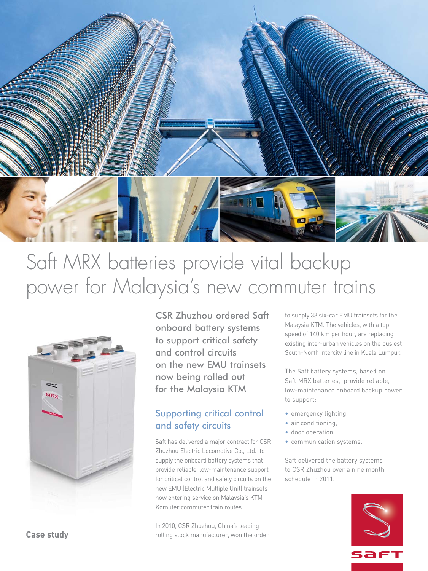

# Saft MRX batteries provide vital backup power for Malaysia's new commuter trains



CSR Zhuzhou ordered Saft onboard battery systems to support critical safety and control circuits on the new EMU trainsets now being rolled out for the Malaysia KTM

# Supporting critical control and safety circuits

Saft has delivered a major contract for CSR Zhuzhou Electric Locomotive Co., Ltd. to supply the onboard battery systems that provide reliable, low-maintenance support for critical control and safety circuits on the new EMU (Electric Multiple Unit) trainsets now entering service on Malaysia's KTM Komuter commuter train routes.

In 2010, CSR Zhuzhou, China's leading rolling stock manufacturer, won the order to supply 38 six-car EMU trainsets for the Malaysia KTM. The vehicles, with a top speed of 140 km per hour, are replacing existing inter-urban vehicles on the busiest South-North intercity line in Kuala Lumpur.

The Saft battery systems, based on Saft MRX batteries, provide reliable, low-maintenance onboard backup power to support:

- emergency lighting,
- air conditioning,
- door operation,
- communication systems.

Saft delivered the battery systems to CSR Zhuzhou over a nine month schedule in 2011.



**Case study**